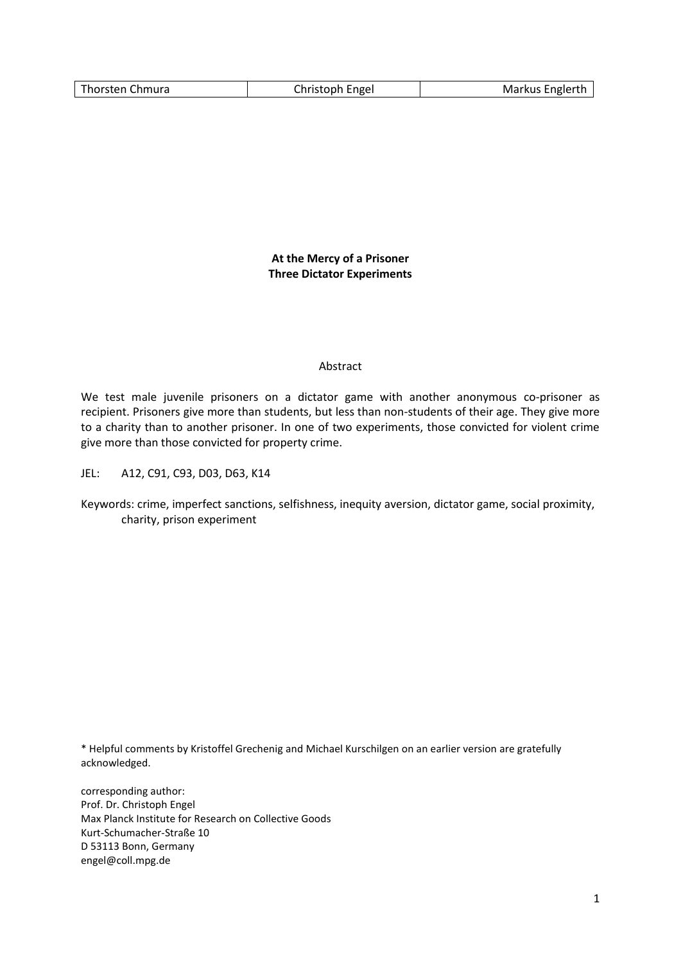|--|

**At the Mercy of a Prisoner Three Dictator Experiments**

### Abstract

We test male juvenile prisoners on a dictator game with another anonymous co-prisoner as recipient. Prisoners give more than students, but less than non-students of their age. They give more to a charity than to another prisoner. In one of two experiments, those convicted for violent crime give more than those convicted for property crime.

JEL: A12, C91, C93, D03, D63, K14

\* Helpful comments by Kristoffel Grechenig and Michael Kurschilgen on an earlier version are gratefully acknowledged.

corresponding author: Prof. Dr. Christoph Engel Max Planck Institute for Research on Collective Goods Kurt-Schumacher-Straße 10 D 53113 Bonn, Germany engel@coll.mpg.de

Keywords: crime, imperfect sanctions, selfishness, inequity aversion, dictator game, social proximity, charity, prison experiment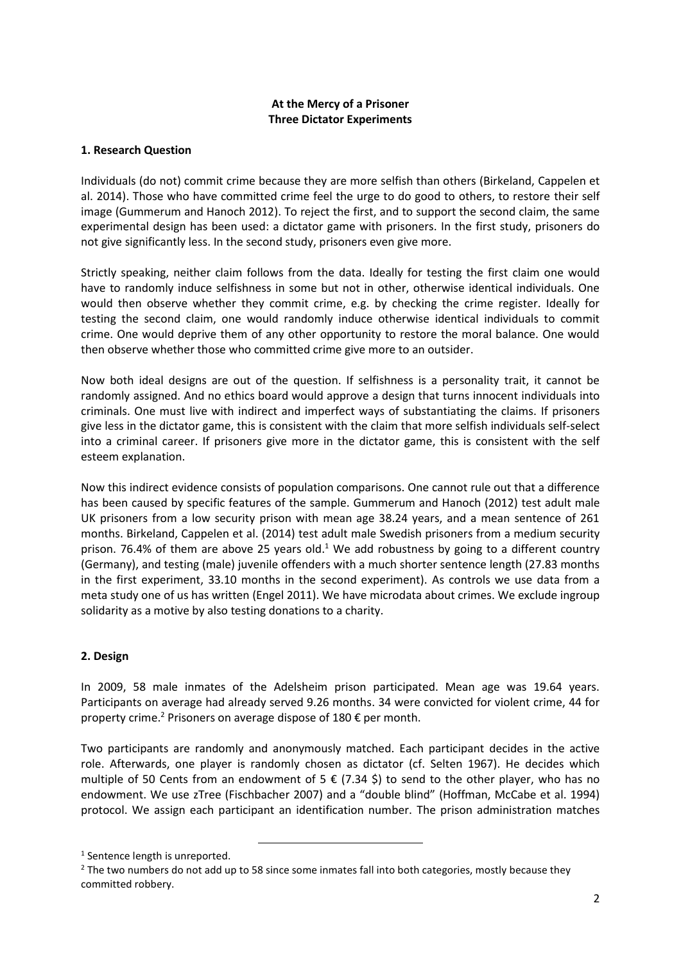# **At the Mercy of a Prisoner Three Dictator Experiments**

## **1. Research Question**

Individuals (do not) commit crime because they are more selfish than others (Birkeland, Cappelen et al. 2014). Those who have committed crime feel the urge to do good to others, to restore their self image (Gummerum and Hanoch 2012). To reject the first, and to support the second claim, the same experimental design has been used: a dictator game with prisoners. In the first study, prisoners do not give significantly less. In the second study, prisoners even give more.

Strictly speaking, neither claim follows from the data. Ideally for testing the first claim one would have to randomly induce selfishness in some but not in other, otherwise identical individuals. One would then observe whether they commit crime, e.g. by checking the crime register. Ideally for testing the second claim, one would randomly induce otherwise identical individuals to commit crime. One would deprive them of any other opportunity to restore the moral balance. One would then observe whether those who committed crime give more to an outsider.

Now both ideal designs are out of the question. If selfishness is a personality trait, it cannot be randomly assigned. And no ethics board would approve a design that turns innocent individuals into criminals. One must live with indirect and imperfect ways of substantiating the claims. If prisoners give less in the dictator game, this is consistent with the claim that more selfish individuals self-select into a criminal career. If prisoners give more in the dictator game, this is consistent with the self esteem explanation.

Now this indirect evidence consists of population comparisons. One cannot rule out that a difference has been caused by specific features of the sample. Gummerum and Hanoch (2012) test adult male UK prisoners from a low security prison with mean age 38.24 years, and a mean sentence of 261 months. Birkeland, Cappelen et al. (2014) test adult male Swedish prisoners from a medium security prison. 76.4% of them are above 25 years old.<sup>1</sup> We add robustness by going to a different country (Germany), and testing (male) juvenile offenders with a much shorter sentence length (27.83 months in the first experiment, 33.10 months in the second experiment). As controls we use data from a meta study one of us has written (Engel 2011). We have microdata about crimes. We exclude ingroup solidarity as a motive by also testing donations to a charity.

### **2. Design**

In 2009, 58 male inmates of the Adelsheim prison participated. Mean age was 19.64 years. Participants on average had already served 9.26 months. 34 were convicted for violent crime, 44 for property crime.<sup>2</sup> Prisoners on average dispose of 180  $\epsilon$  per month.

Two participants are randomly and anonymously matched. Each participant decides in the active role. Afterwards, one player is randomly chosen as dictator (cf. Selten 1967). He decides which multiple of 50 Cents from an endowment of 5  $\epsilon$  (7.34 \$) to send to the other player, who has no endowment. We use zTree (Fischbacher 2007) and a "double blind" (Hoffman, McCabe et al. 1994) protocol. We assign each participant an identification number. The prison administration matches

 $\overline{\phantom{a}}$ 

<sup>&</sup>lt;sup>1</sup> Sentence length is unreported.

<sup>&</sup>lt;sup>2</sup> The two numbers do not add up to 58 since some inmates fall into both categories, mostly because they committed robbery.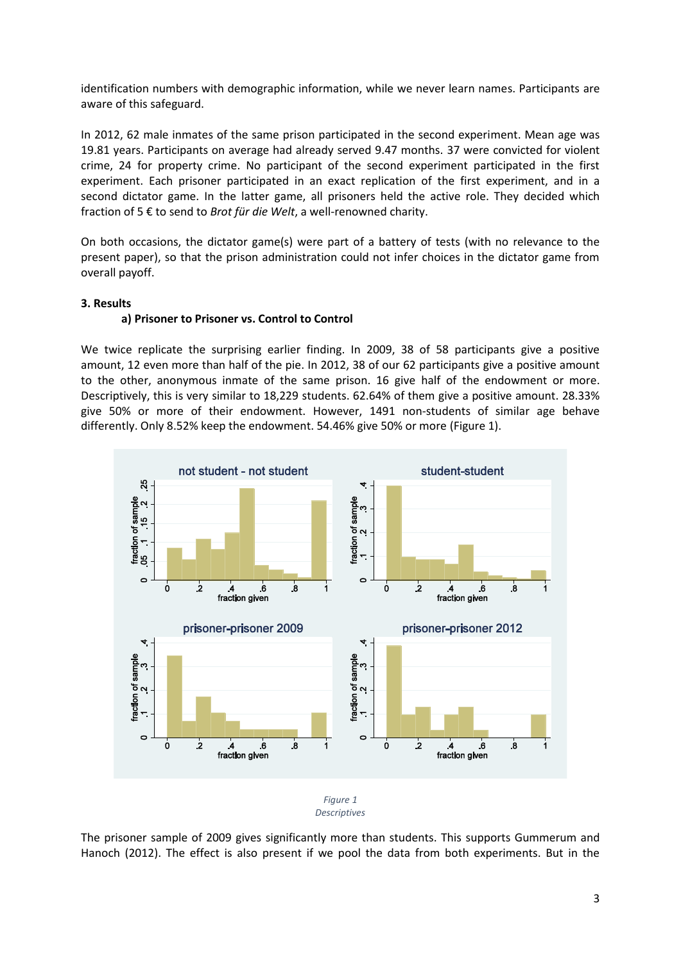identification numbers with demographic information, while we never learn names. Participants are aware of this safeguard.

In 2012, 62 male inmates of the same prison participated in the second experiment. Mean age was 19.81 years. Participants on average had already served 9.47 months. 37 were convicted for violent crime, 24 for property crime. No participant of the second experiment participated in the first experiment. Each prisoner participated in an exact replication of the first experiment, and in a second dictator game. In the latter game, all prisoners held the active role. They decided which fraction of 5 € to send to *Brot für die Welt*, a well-renowned charity.

On both occasions, the dictator game(s) were part of a battery of tests (with no relevance to the present paper), so that the prison administration could not infer choices in the dictator game from overall payoff.

# **3. Results**

# **a) Prisoner to Prisoner vs. Control to Control**

We twice replicate the surprising earlier finding. In 2009, 38 of 58 participants give a positive amount, 12 even more than half of the pie. In 2012, 38 of our 62 participants give a positive amount to the other, anonymous inmate of the same prison. 16 give half of the endowment or more. Descriptively, this is very similar to 18,229 students. 62.64% of them give a positive amount. 28.33% give 50% or more of their endowment. However, 1491 non-students of similar age behave differently. Only 8.52% keep the endowment. 54.46% give 50% or more [\(Figure 1\)](#page-2-0).



*Descriptives*

<span id="page-2-0"></span>The prisoner sample of 2009 gives significantly more than students. This supports Gummerum and Hanoch (2012). The effect is also present if we pool the data from both experiments. But in the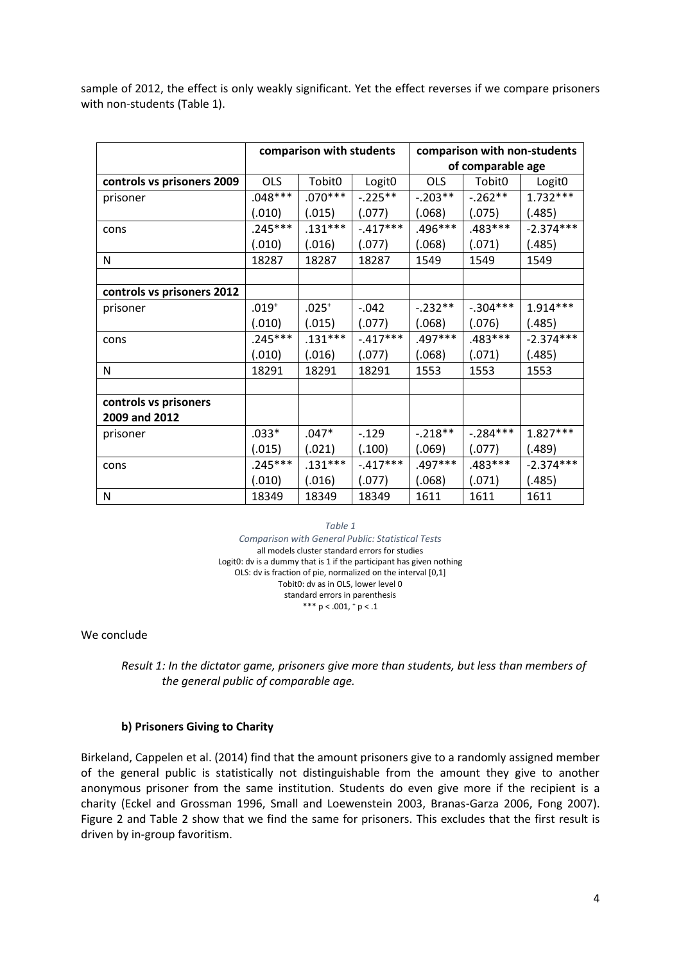sample of 2012, the effect is only weakly significant. Yet the effect reverses if we compare prisoners with non-students [\(Table 1\)](#page-3-0).

|                            | comparison with students |                    |                    | comparison with non-students |                    |                    |
|----------------------------|--------------------------|--------------------|--------------------|------------------------------|--------------------|--------------------|
|                            |                          |                    |                    | of comparable age            |                    |                    |
| controls vs prisoners 2009 | <b>OLS</b>               | Tobit <sub>0</sub> | Logit <sub>0</sub> | <b>OLS</b>                   | Tobit <sub>0</sub> | Logit <sub>0</sub> |
| prisoner                   | $.048***$                | $.070***$          | $-.225**$          | $-.203**$                    | $-.262**$          | $1.732***$         |
|                            | (.010)                   | (.015)             | (.077)             | (.068)                       | (.075)             | (.485)             |
| cons                       | $.245***$                | $.131***$          | $-.417***$         | .496***                      | $.483***$          | $-2.374***$        |
|                            | (.010)                   | (.016)             | (.077)             | (.068)                       | (.071)             | (.485)             |
| N                          | 18287                    | 18287              | 18287              | 1549                         | 1549               | 1549               |
|                            |                          |                    |                    |                              |                    |                    |
| controls vs prisoners 2012 |                          |                    |                    |                              |                    |                    |
| prisoner                   | $.019^{+}$               | $.025^{+}$         | $-.042$            | $-.232**$                    | $-.304***$         | $1.914***$         |
|                            | (.010)                   | (.015)             | (.077)             | (.068)                       | (.076)             | (.485)             |
| cons                       | $.245***$                | $.131***$          | $-.417***$         | $.497***$                    | $.483***$          | $-2.374***$        |
|                            | (.010)                   | (.016)             | (.077)             | (.068)                       | (.071)             | (.485)             |
| N                          | 18291                    | 18291              | 18291              | 1553                         | 1553               | 1553               |
|                            |                          |                    |                    |                              |                    |                    |
| controls vs prisoners      |                          |                    |                    |                              |                    |                    |
| 2009 and 2012              |                          |                    |                    |                              |                    |                    |
| prisoner                   | .033*                    | $.047*$            | $-.129$            | $-.218**$                    | $-.284***$         | $1.827***$         |
|                            | (.015)                   | (.021)             | (.100)             | (.069)                       | (.077)             | (.489)             |
| cons                       | .245***                  | $.131***$          | $-.417***$         | .497***                      | .483***            | $-2.374***$        |
|                            | (.010)                   | (.016)             | (.077)             | (.068)                       | (.071)             | (.485)             |
| N                          | 18349                    | 18349              | 18349              | 1611                         | 1611               | 1611               |

#### *Table 1*

*Comparison with General Public: Statistical Tests* all models cluster standard errors for studies Logit0: dv is a dummy that is 1 if the participant has given nothing OLS: dv is fraction of pie, normalized on the interval [0,1] Tobit0: dv as in OLS, lower level 0 standard errors in parenthesis \*\*\*  $p < .001, ^{+} p < .1$ 

<span id="page-3-0"></span>We conclude

*Result 1: In the dictator game, prisoners give more than students, but less than members of the general public of comparable age.*

#### **b) Prisoners Giving to Charity**

Birkeland, Cappelen et al. (2014) find that the amount prisoners give to a randomly assigned member of the general public is statistically not distinguishable from the amount they give to another anonymous prisoner from the same institution. Students do even give more if the recipient is a charity (Eckel and Grossman 1996, Small and Loewenstein 2003, Branas-Garza 2006, Fong 2007). [Figure 2](#page-4-0) and [Table 2](#page-4-1) show that we find the same for prisoners. This excludes that the first result is driven by in-group favoritism.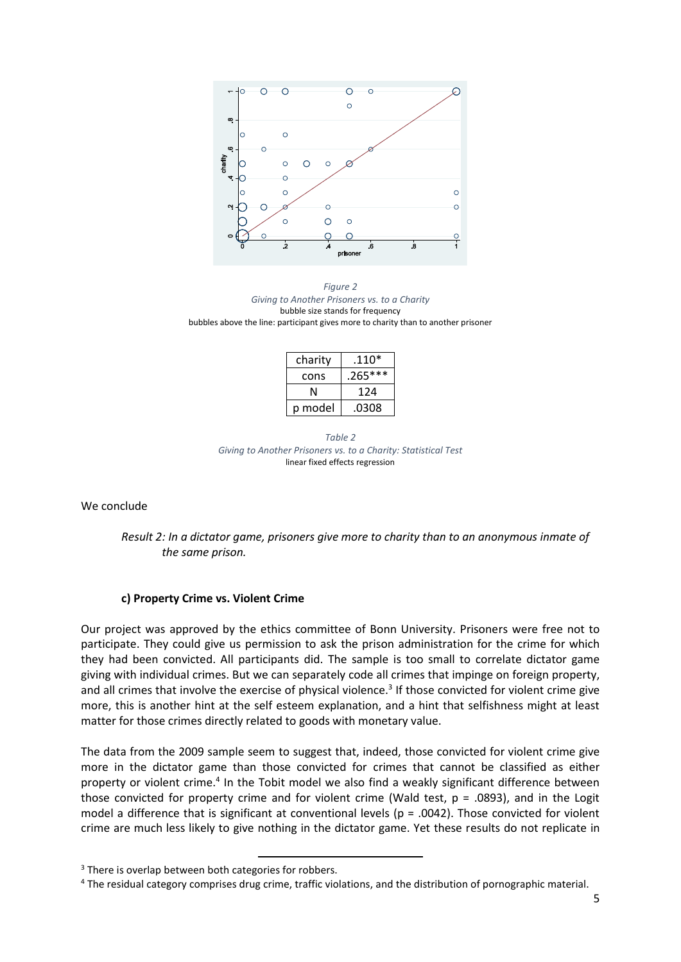

<span id="page-4-0"></span>*Figure 2 Giving to Another Prisoners vs. to a Charity* bubble size stands for frequency bubbles above the line: participant gives more to charity than to another prisoner

| charity | $.110*$   |  |  |
|---------|-----------|--|--|
| cons    | $.265***$ |  |  |
| N       | 124       |  |  |
| p model | .0308     |  |  |

*Table 2 Giving to Another Prisoners vs. to a Charity: Statistical Test* linear fixed effects regression

<span id="page-4-1"></span>We conclude

*Result 2: In a dictator game, prisoners give more to charity than to an anonymous inmate of the same prison.*

### **c) Property Crime vs. Violent Crime**

Our project was approved by the ethics committee of Bonn University. Prisoners were free not to participate. They could give us permission to ask the prison administration for the crime for which they had been convicted. All participants did. The sample is too small to correlate dictator game giving with individual crimes. But we can separately code all crimes that impinge on foreign property, and all crimes that involve the exercise of physical violence.<sup>3</sup> If those convicted for violent crime give more, this is another hint at the self esteem explanation, and a hint that selfishness might at least matter for those crimes directly related to goods with monetary value.

The data from the 2009 sample seem to suggest that, indeed, those convicted for violent crime give more in the dictator game than those convicted for crimes that cannot be classified as either property or violent crime.<sup>4</sup> In the Tobit model we also find a weakly significant difference between those convicted for property crime and for violent crime (Wald test, p = .0893), and in the Logit model a difference that is significant at conventional levels ( $p = .0042$ ). Those convicted for violent crime are much less likely to give nothing in the dictator game. Yet these results do not replicate in

 $\overline{a}$ 

<sup>&</sup>lt;sup>3</sup> There is overlap between both categories for robbers.

<sup>4</sup> The residual category comprises drug crime, traffic violations, and the distribution of pornographic material.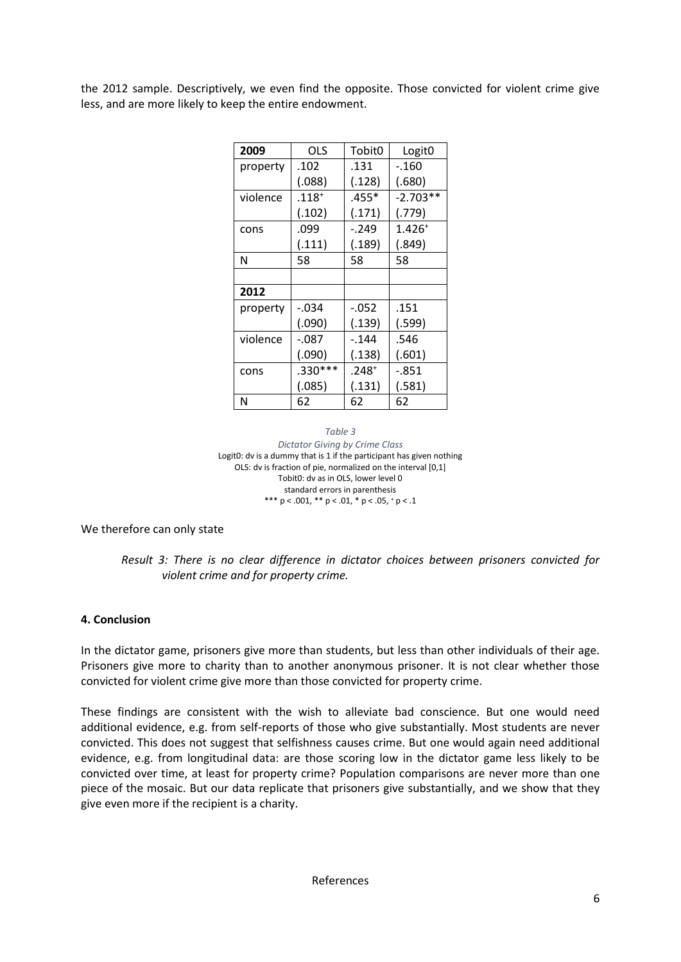the 2012 sample. Descriptively, we even find the opposite. Those convicted for violent crime give less, and are more likely to keep the entire endowment.

| 2009     | OLS       | Tobit <sub>0</sub> | Logit <sub>0</sub> |  |
|----------|-----------|--------------------|--------------------|--|
| property | .102      | .131               | -.160              |  |
|          | (.088)    | (.128)             | (.680)             |  |
| violence | $.118^+$  | $.455*$            | $-2.703**$         |  |
|          | (.102)    | (.171)             | (.779)             |  |
| cons     | .099      | $-.249$            | $1.426^{+}$        |  |
|          | (.111)    | (.189)             | (.849)             |  |
| N        | 58        | 58                 | 58                 |  |
|          |           |                    |                    |  |
| 2012     |           |                    |                    |  |
| property | -.034     | $-052$             | .151               |  |
|          | (.090)    | (.139)             | (.599)             |  |
| violence | -.087     | $-144$             | .546               |  |
|          | (.090)    | (.138)             | (.601)             |  |
| cons     | $.330***$ | $.248^{+}$         | -.851              |  |
|          | (.085)    | (.131)             | (.581)             |  |
| N        | 62        | 62                 | 62                 |  |

#### *Table 3 Dictator Giving by Crime Class* Logit0: dv is a dummy that is 1 if the participant has given nothing OLS: dv is fraction of pie, normalized on the interval [0,1] Tobit0: dv as in OLS, lower level 0 standard errors in parenthesis \*\*\*  $p < .001$ , \*\*  $p < .01$ , \*  $p < .05$ ,  $p < .1$

We therefore can only state

# *Result 3: There is no clear difference in dictator choices between prisoners convicted for violent crime and for property crime.*

# **4. Conclusion**

In the dictator game, prisoners give more than students, but less than other individuals of their age. Prisoners give more to charity than to another anonymous prisoner. It is not clear whether those convicted for violent crime give more than those convicted for property crime.

These findings are consistent with the wish to alleviate bad conscience. But one would need additional evidence, e.g. from self-reports of those who give substantially. Most students are never convicted. This does not suggest that selfishness causes crime. But one would again need additional evidence, e.g. from longitudinal data: are those scoring low in the dictator game less likely to be convicted over time, at least for property crime? Population comparisons are never more than one piece of the mosaic. But our data replicate that prisoners give substantially, and we show that they give even more if the recipient is a charity.